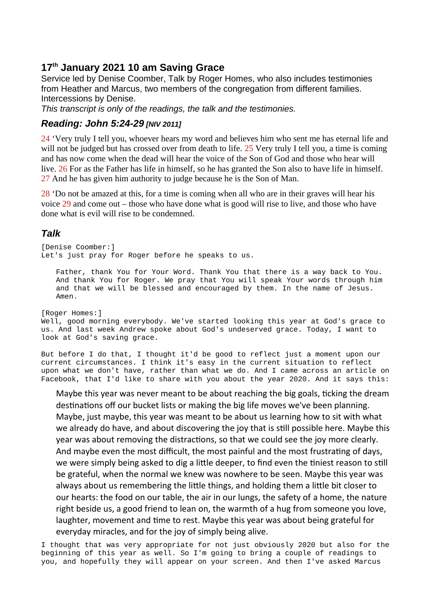## **17th January 2021 10 am Saving Grace**

Service led by Denise Coomber, Talk by Roger Homes, who also includes testimonies from Heather and Marcus, two members of the congregation from different families. Intercessions by Denise.

*This transcript is only of the readings, the talk and the testimonies.*

## *Reading: John 5:24-29 [NIV 2011]*

24 'Very truly I tell you, whoever hears my word and believes him who sent me has eternal life and will not be judged but has crossed over from death to life. 25 Very truly I tell you, a time is coming and has now come when the dead will hear the voice of the Son of God and those who hear will live. 26 For as the Father has life in himself, so he has granted the Son also to have life in himself. 27 And he has given him authority to judge because he is the Son of Man.

28 'Do not be amazed at this, for a time is coming when all who are in their graves will hear his voice 29 and come out – those who have done what is good will rise to live, and those who have done what is evil will rise to be condemned.

## *Talk*

[Denise Coomber:] Let's just pray for Roger before he speaks to us.

Father, thank You for Your Word. Thank You that there is a way back to You. And thank You for Roger. We pray that You will speak Your words through him and that we will be blessed and encouraged by them. In the name of Jesus. Amen.

[Roger Homes:] Well, good morning everybody. We've started looking this year at God's grace to us. And last week Andrew spoke about God's undeserved grace. Today, I want to look at God's saving grace.

But before I do that, I thought it'd be good to reflect just a moment upon our current circumstances. I think it's easy in the current situation to reflect upon what we don't have, rather than what we do. And I came across an article on Facebook, that I'd like to share with you about the year 2020. And it says this:

Maybe this year was never meant to be about reaching the big goals, ticking the dream destinations off our bucket lists or making the big life moves we've been planning. Maybe, just maybe, this year was meant to be about us learning how to sit with what we already do have, and about discovering the joy that is still possible here. Maybe this year was about removing the distractions, so that we could see the joy more clearly. And maybe even the most difficult, the most painful and the most frustrating of days, we were simply being asked to dig a little deeper, to find even the tiniest reason to still be grateful, when the normal we knew was nowhere to be seen. Maybe this year was always about us remembering the little things, and holding them a little bit closer to our hearts: the food on our table, the air in our lungs, the safety of a home, the nature right beside us, a good friend to lean on, the warmth of a hug from someone you love, laughter, movement and time to rest. Maybe this year was about being grateful for everyday miracles, and for the joy of simply being alive.

I thought that was very appropriate for not just obviously 2020 but also for the beginning of this year as well. So I'm going to bring a couple of readings to you, and hopefully they will appear on your screen. And then I've asked Marcus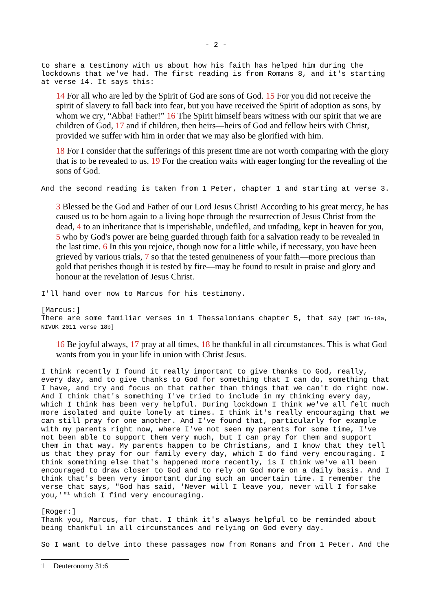to share a testimony with us about how his faith has helped him during the lockdowns that we've had. The first reading is from Romans 8, and it's starting at verse 14. It says this:

14 For all who are led by the Spirit of God are sons of God. 15 For you did not receive the spirit of slavery to fall back into fear, but you have received the Spirit of adoption as sons, by whom we cry, "Abba! Father!" 16 The Spirit himself bears witness with our spirit that we are children of God, 17 and if children, then heirs—heirs of God and fellow heirs with Christ, provided we suffer with him in order that we may also be glorified with him.

18 For I consider that the sufferings of this present time are not worth comparing with the glory that is to be revealed to us. 19 For the creation waits with eager longing for the revealing of the sons of God.

And the second reading is taken from 1 Peter, chapter 1 and starting at verse 3.

3 Blessed be the God and Father of our Lord Jesus Christ! According to his great mercy, he has caused us to be born again to a living hope through the resurrection of Jesus Christ from the dead, 4 to an inheritance that is imperishable, undefiled, and unfading, kept in heaven for you, 5 who by God's power are being guarded through faith for a salvation ready to be revealed in the last time. 6 In this you rejoice, though now for a little while, if necessary, you have been grieved by various trials, 7 so that the tested genuineness of your faith—more precious than gold that perishes though it is tested by fire—may be found to result in praise and glory and honour at the revelation of Jesus Christ.

I'll hand over now to Marcus for his testimony.

[Marcus:]

There are some familiar verses in 1 Thessalonians chapter 5, that say [GNT 16-18a, NIVUK 2011 verse 18b]

16 Be joyful always, 17 pray at all times, 18 be thankful in all circumstances. This is what God wants from you in your life in union with Christ Jesus.

I think recently I found it really important to give thanks to God, really, every day, and to give thanks to God for something that I can do, something that I have, and try and focus on that rather than things that we can't do right now. And I think that's something I've tried to include in my thinking every day, which I think has been very helpful. During lockdown I think we've all felt much more isolated and quite lonely at times. I think it's really encouraging that we can still pray for one another. And I've found that, particularly for example with my parents right now, where I've not seen my parents for some time, I've not been able to support them very much, but I can pray for them and support them in that way. My parents happen to be Christians, and I know that they tell us that they pray for our family every day, which I do find very encouraging. I think something else that's happened more recently, is I think we've all been encouraged to draw closer to God and to rely on God more on a daily basis. And I think that's been very important during such an uncertain time. I remember the verse that says, "God has said, 'Never will I leave you, never will I forsake you,'"[1](#page-1-0) which I find very encouraging.

[Roger:]

Thank you, Marcus, for that. I think it's always helpful to be reminded about being thankful in all circumstances and relying on God every day.

So I want to delve into these passages now from Romans and from 1 Peter. And the

<span id="page-1-0"></span><sup>1</sup> Deuteronomy 31:6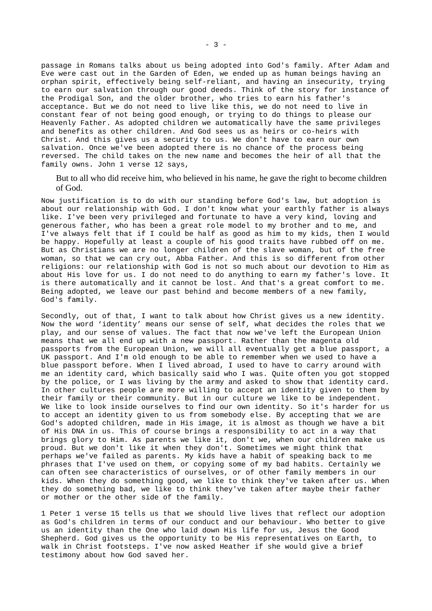passage in Romans talks about us being adopted into God's family. After Adam and Eve were cast out in the Garden of Eden, we ended up as human beings having an orphan spirit, effectively being self-reliant, and having an insecurity, trying to earn our salvation through our good deeds. Think of the story for instance of the Prodigal Son, and the older brother, who tries to earn his father's acceptance. But we do not need to live like this, we do not need to live in constant fear of not being good enough, or trying to do things to please our Heavenly Father. As adopted children we automatically have the same privileges and benefits as other children. And God sees us as heirs or co-heirs with Christ. And this gives us a security to us. We don't have to earn our own salvation. Once we've been adopted there is no chance of the process being reversed. The child takes on the new name and becomes the heir of all that the family owns. John 1 verse 12 says,

But to all who did receive him, who believed in his name, he gave the right to become children of God.

Now justification is to do with our standing before God's law, but adoption is about our relationship with God. I don't know what your earthly father is always like. I've been very privileged and fortunate to have a very kind, loving and generous father, who has been a great role model to my brother and to me, and I've always felt that if I could be half as good as him to my kids, then I would be happy. Hopefully at least a couple of his good traits have rubbed off on me. But as Christians we are no longer children of the slave woman, but of the free woman, so that we can cry out, Abba Father. And this is so different from other religions: our relationship with God is not so much about our devotion to Him as about His love for us. I do not need to do anything to earn my father's love. It is there automatically and it cannot be lost. And that's a great comfort to me. Being adopted, we leave our past behind and become members of a new family, God's family.

Secondly, out of that, I want to talk about how Christ gives us a new identity. Now the word 'identity' means our sense of self, what decides the roles that we play, and our sense of values. The fact that now we've left the European Union means that we all end up with a new passport. Rather than the magenta old passports from the European Union, we will all eventually get a blue passport, a UK passport. And I'm old enough to be able to remember when we used to have a blue passport before. When I lived abroad, I used to have to carry around with me an identity card, which basically said who I was. Quite often you got stopped by the police, or I was living by the army and asked to show that identity card. In other cultures people are more willing to accept an identity given to them by their family or their community. But in our culture we like to be independent. We like to look inside ourselves to find our own identity. So it's harder for us to accept an identity given to us from somebody else. By accepting that we are God's adopted children, made in His image, it is almost as though we have a bit of His DNA in us. This of course brings a responsibility to act in a way that brings glory to Him. As parents we like it, don't we, when our children make us proud. But we don't like it when they don't. Sometimes we might think that perhaps we've failed as parents. My kids have a habit of speaking back to me phrases that I've used on them, or copying some of my bad habits. Certainly we can often see characteristics of ourselves, or of other family members in our kids. When they do something good, we like to think they've taken after us. When they do something bad, we like to think they've taken after maybe their father or mother or the other side of the family.

1 Peter 1 verse 15 tells us that we should live lives that reflect our adoption as God's children in terms of our conduct and our behaviour. Who better to give us an identity than the One who laid down His life for us, Jesus the Good Shepherd. God gives us the opportunity to be His representatives on Earth, to walk in Christ footsteps. I've now asked Heather if she would give a brief testimony about how God saved her.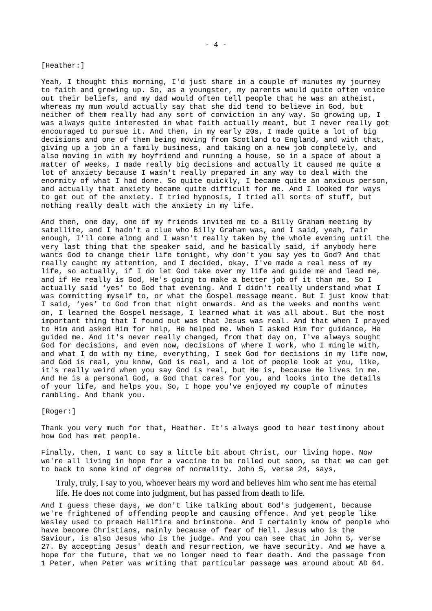[Heather:]

Yeah, I thought this morning, I'd just share in a couple of minutes my journey to faith and growing up. So, as a youngster, my parents would quite often voice out their beliefs, and my dad would often tell people that he was an atheist, whereas my mum would actually say that she did tend to believe in God, but neither of them really had any sort of conviction in any way. So growing up, I was always quite interested in what faith actually meant, but I never really got encouraged to pursue it. And then, in my early 20s, I made quite a lot of big decisions and one of them being moving from Scotland to England, and with that, giving up a job in a family business, and taking on a new job completely, and also moving in with my boyfriend and running a house, so in a space of about a matter of weeks, I made really big decisions and actually it caused me quite a lot of anxiety because I wasn't really prepared in any way to deal with the enormity of what I had done. So quite quickly, I became quite an anxious person, and actually that anxiety became quite difficult for me. And I looked for ways to get out of the anxiety. I tried hypnosis, I tried all sorts of stuff, but nothing really dealt with the anxiety in my life.

And then, one day, one of my friends invited me to a Billy Graham meeting by satellite, and I hadn't a clue who Billy Graham was, and I said, yeah, fair enough, I'll come along and I wasn't really taken by the whole evening until the very last thing that the speaker said, and he basically said, if anybody here wants God to change their life tonight, why don't you say yes to God? And that really caught my attention, and I decided, okay, I've made a real mess of my life, so actually, if I do let God take over my life and guide me and lead me, and if He really is God, He's going to make a better job of it than me. So I actually said 'yes' to God that evening. And I didn't really understand what I was committing myself to, or what the Gospel message meant. But I just know that I said, 'yes' to God from that night onwards. And as the weeks and months went on, I learned the Gospel message, I learned what it was all about. But the most important thing that I found out was that Jesus was real. And that when I prayed to Him and asked Him for help, He helped me. When I asked Him for guidance, He guided me. And it's never really changed, from that day on, I've always sought God for decisions, and even now, decisions of where I work, who I mingle with, and what I do with my time, everything, I seek God for decisions in my life now, and God is real, you know, God is real, and a lot of people look at you, like, it's really weird when you say God is real, but He is, because He lives in me. And He is a personal God, a God that cares for you, and looks into the details of your life, and helps you. So, I hope you've enjoyed my couple of minutes rambling. And thank you.

[Roger:]

Thank you very much for that, Heather. It's always good to hear testimony about how God has met people.

Finally, then, I want to say a little bit about Christ, our living hope. Now we're all living in hope for a vaccine to be rolled out soon, so that we can get to back to some kind of degree of normality. John 5, verse 24, says,

Truly, truly, I say to you, whoever hears my word and believes him who sent me has eternal life. He does not come into judgment, but has passed from death to life.

And I guess these days, we don't like talking about God's judgement, because we're frightened of offending people and causing offence. And yet people like Wesley used to preach Hellfire and brimstone. And I certainly know of people who have become Christians, mainly because of fear of Hell. Jesus who is the Saviour, is also Jesus who is the judge. And you can see that in John 5, verse 27. By accepting Jesus' death and resurrection, we have security. And we have a hope for the future, that we no longer need to fear death. And the passage from 1 Peter, when Peter was writing that particular passage was around about AD 64.